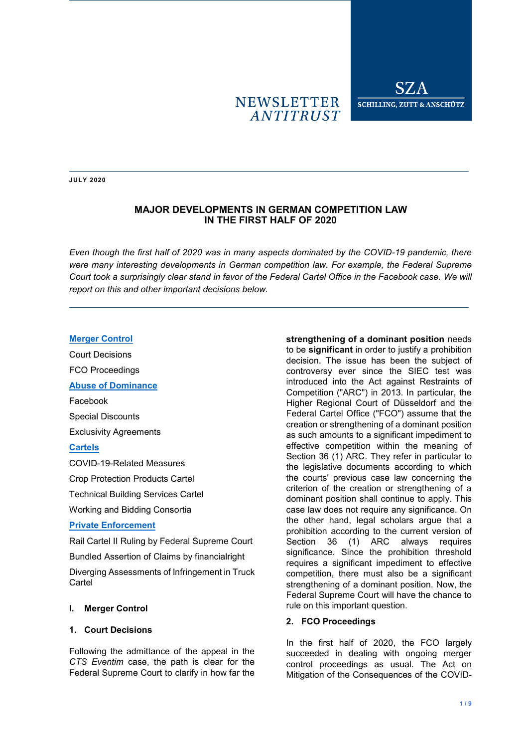# **NEWSLETTER ANTITRUST**

**JULY 2020**

## **MAJOR DEVELOPMENTS IN GERMAN COMPETITION LAW IN THE FIRST HALF OF 2020**

*Even though the first half of 2020 was in many aspects dominated by the COVID-19 pandemic, there were many interesting developments in German competition law. For example, the Federal Supreme Court took a surprisingly clear stand in favor of the Federal Cartel Office in the Facebook case. We will report on this and other important decisions below.* 

### **[Merger Control](#page-0-0)**

Court Decisions FCO Proceedings **[Abuse of Dominance](#page-2-0)** Facebook Special Discounts Exclusivity Agreements **[Cartels](#page-4-0)** COVID-19-Related Measures Crop Protection Products Cartel Technical Building Services Cartel Working and Bidding Consortia

#### **[Private Enforcement](#page-5-0)**

Rail Cartel II Ruling by Federal Supreme Court Bundled Assertion of Claims by financialright

Diverging Assessments of Infringement in Truck **Cartel** 

## <span id="page-0-0"></span>**I. Merger Control**

#### **1. Court Decisions**

Following the admittance of the appeal in the *CTS Eventim* case, the path is clear for the Federal Supreme Court to clarify in how far the

**strengthening of a dominant position** needs to be **significant** in order to justify a prohibition decision. The issue has been the subject of controversy ever since the SIEC test was introduced into the Act against Restraints of Competition ("ARC") in 2013. In particular, the Higher Regional Court of Düsseldorf and the Federal Cartel Office ("FCO") assume that the creation or strengthening of a dominant position as such amounts to a significant impediment to effective competition within the meaning of Section 36 (1) ARC. They refer in particular to the legislative documents according to which the courts' previous case law concerning the criterion of the creation or strengthening of a dominant position shall continue to apply. This case law does not require any significance. On the other hand, legal scholars argue that a prohibition according to the current version of Section 36 (1) ARC always requires significance. Since the prohibition threshold requires a significant impediment to effective competition, there must also be a significant strengthening of a dominant position. Now, the Federal Supreme Court will have the chance to rule on this important question.

#### **2. FCO Proceedings**

In the first half of 2020, the FCO largely succeeded in dealing with ongoing merger control proceedings as usual. The Act on Mitigation of the Consequences of the COVID-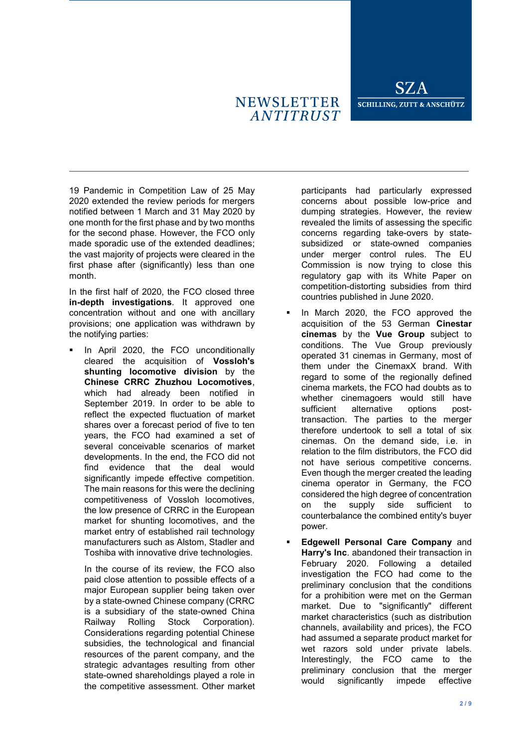# **NEWSLETTER ANTITRUST**

19 Pandemic in Competition Law of 25 May 2020 extended the review periods for mergers notified between 1 March and 31 May 2020 by one month for the first phase and by two months for the second phase. However, the FCO only made sporadic use of the extended deadlines; the vast majority of projects were cleared in the first phase after (significantly) less than one month.

In the first half of 2020, the FCO closed three **in-depth investigations**. It approved one concentration without and one with ancillary provisions; one application was withdrawn by the notifying parties:

 In April 2020, the FCO unconditionally cleared the acquisition of **Vossloh's shunting locomotive division** by the **Chinese CRRC Zhuzhou Locomotives**, which had already been notified in September 2019. In order to be able to reflect the expected fluctuation of market shares over a forecast period of five to ten years, the FCO had examined a set of several conceivable scenarios of market developments. In the end, the FCO did not find evidence that the deal would significantly impede effective competition. The main reasons for this were the declining competitiveness of Vossloh locomotives, the low presence of CRRC in the European market for shunting locomotives, and the market entry of established rail technology manufacturers such as Alstom, Stadler and Toshiba with innovative drive technologies.

In the course of its review, the FCO also paid close attention to possible effects of a major European supplier being taken over by a state-owned Chinese company (CRRC is a subsidiary of the state-owned China Railway Rolling Stock Corporation). Considerations regarding potential Chinese subsidies, the technological and financial resources of the parent company, and the strategic advantages resulting from other state-owned shareholdings played a role in the competitive assessment. Other market participants had particularly expressed concerns about possible low-price and dumping strategies. However, the review revealed the limits of assessing the specific concerns regarding take-overs by statesubsidized or state-owned companies under merger control rules. The EU Commission is now trying to close this regulatory gap with its White Paper on competition-distorting subsidies from third countries published in June 2020.

- In March 2020, the FCO approved the acquisition of the 53 German **Cinestar cinemas** by the **Vue Group** subject to conditions. The Vue Group previously operated 31 cinemas in Germany, most of them under the CinemaxX brand. With regard to some of the regionally defined cinema markets, the FCO had doubts as to whether cinemagoers would still have sufficient alternative options posttransaction. The parties to the merger therefore undertook to sell a total of six cinemas. On the demand side, i.e. in relation to the film distributors, the FCO did not have serious competitive concerns. Even though the merger created the leading cinema operator in Germany, the FCO considered the high degree of concentration on the supply side sufficient to counterbalance the combined entity's buyer power.
- **Edgewell Personal Care Company** and **Harry's Inc**. abandoned their transaction in February 2020. Following a detailed investigation the FCO had come to the preliminary conclusion that the conditions for a prohibition were met on the German market. Due to "significantly" different market characteristics (such as distribution channels, availability and prices), the FCO had assumed a separate product market for wet razors sold under private labels. Interestingly, the FCO came to the preliminary conclusion that the merger would significantly impede effective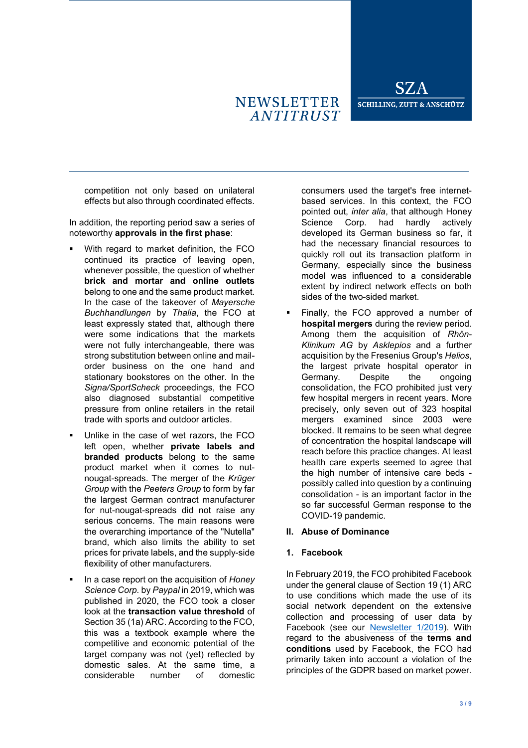# **NEWSLETTER ANTITRUST**

competition not only based on unilateral effects but also through coordinated effects.

In addition, the reporting period saw a series of noteworthy **approvals in the first phase**:

- With regard to market definition, the FCO continued its practice of leaving open, whenever possible, the question of whether **brick and mortar and online outlets** belong to one and the same product market. In the case of the takeover of *Mayersche Buchhandlungen* by *Thalia*, the FCO at least expressly stated that, although there were some indications that the markets were not fully interchangeable, there was strong substitution between online and mailorder business on the one hand and stationary bookstores on the other. In the *Signa/SportScheck* proceedings, the FCO also diagnosed substantial competitive pressure from online retailers in the retail trade with sports and outdoor articles.
- Unlike in the case of wet razors, the FCO left open, whether **private labels and branded products** belong to the same product market when it comes to nutnougat-spreads. The merger of the *Krüger Group* with the *Peeters Group* to form by far the largest German contract manufacturer for nut-nougat-spreads did not raise any serious concerns. The main reasons were the overarching importance of the "Nutella" brand, which also limits the ability to set prices for private labels, and the supply-side flexibility of other manufacturers.
- In a case report on the acquisition of *Honey Science Corp.* by *Paypal* in 2019, which was published in 2020, the FCO took a closer look at the **transaction value threshold** of Section 35 (1a) ARC. According to the FCO, this was a textbook example where the competitive and economic potential of the target company was not (yet) reflected by domestic sales. At the same time, a considerable number of domestic

consumers used the target's free internetbased services. In this context, the FCO pointed out, *inter alia*, that although Honey Science Corp. had hardly actively developed its German business so far, it had the necessary financial resources to quickly roll out its transaction platform in Germany, especially since the business model was influenced to a considerable extent by indirect network effects on both sides of the two-sided market.

 Finally, the FCO approved a number of **hospital mergers** during the review period. Among them the acquisition of *Rhön-Klinikum AG* by *Asklepios* and a further acquisition by the Fresenius Group's *Helios*, the largest private hospital operator in Germany. Despite the ongoing consolidation, the FCO prohibited just very few hospital mergers in recent years. More precisely, only seven out of 323 hospital mergers examined since 2003 were blocked. It remains to be seen what degree of concentration the hospital landscape will reach before this practice changes. At least health care experts seemed to agree that the high number of intensive care beds possibly called into question by a continuing consolidation - is an important factor in the so far successful German response to the COVID-19 pandemic.

### <span id="page-2-0"></span>**II. Abuse of Dominance**

### **1. Facebook**

In February 2019, the FCO prohibited Facebook under the general clause of Section 19 (1) ARC to use conditions which made the use of its social network dependent on the extensive collection and processing of user data by Facebook (see our [Newsletter 1/2019\)](https://www.sza.de/en/current/client-information/client-information-details/news/major-developments-in-german-competition-law-in-january-july-2019/). With regard to the abusiveness of the **terms and conditions** used by Facebook, the FCO had primarily taken into account a violation of the principles of the GDPR based on market power.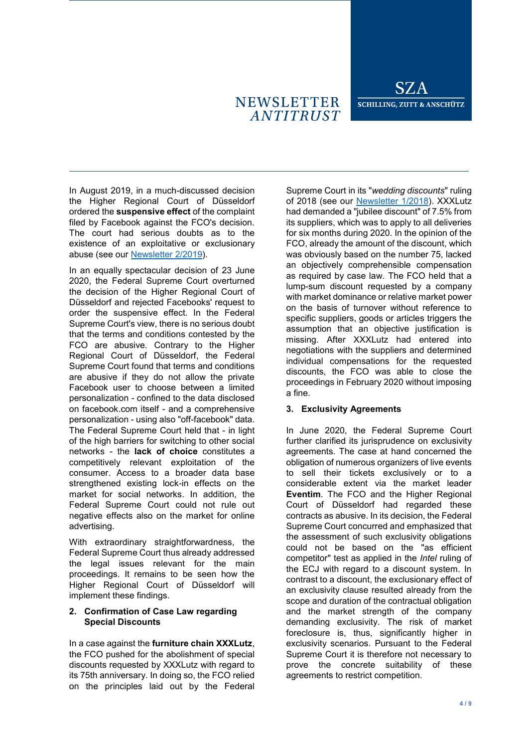# **NEWSLETTER ANTITRUST**

In August 2019, in a much-discussed decision the Higher Regional Court of Düsseldorf ordered the **suspensive effect** of the complaint filed by Facebook against the FCO's decision. The court had serious doubts as to the existence of an exploitative or exclusionary abuse (see our [Newsletter 2/2019\)](https://www.sza.de/en/current/client-information/client-information-details/news/major-developments-in-german-competition-law-in-july-december-2019/).

In an equally spectacular decision of 23 June 2020, the Federal Supreme Court overturned the decision of the Higher Regional Court of Düsseldorf and rejected Facebooks' request to order the suspensive effect. In the Federal Supreme Court's view, there is no serious doubt that the terms and conditions contested by the FCO are abusive. Contrary to the Higher Regional Court of Düsseldorf, the Federal Supreme Court found that terms and conditions are abusive if they do not allow the private Facebook user to choose between a limited personalization - confined to the data disclosed on facebook.com itself - and a comprehensive personalization - using also "off-facebook" data. The Federal Supreme Court held that - in light of the high barriers for switching to other social networks - the **lack of choice** constitutes a competitively relevant exploitation of the consumer. Access to a broader data base strengthened existing lock-in effects on the market for social networks. In addition, the Federal Supreme Court could not rule out negative effects also on the market for online advertising.

With extraordinary straightforwardness, the Federal Supreme Court thus already addressed the legal issues relevant for the main proceedings. It remains to be seen how the Higher Regional Court of Düsseldorf will implement these findings.

### **2. Confirmation of Case Law regarding Special Discounts**

In a case against the **furniture chain XXXLutz**, the FCO pushed for the abolishment of special discounts requested by XXXLutz with regard to its 75th anniversary. In doing so, the FCO relied on the principles laid out by the Federal

Supreme Court in its "*wedding discounts*" ruling of 2018 (see our [Newsletter 1/2018\)](https://www.sza.de/en/current/client-information/client-information-details/news/major-developments-in-german-competition-law-in-january-june-2018/). XXXLutz had demanded a "jubilee discount" of 7.5% from its suppliers, which was to apply to all deliveries for six months during 2020. In the opinion of the FCO, already the amount of the discount, which was obviously based on the number 75, lacked an objectively comprehensible compensation as required by case law. The FCO held that a lump-sum discount requested by a company with market dominance or relative market power on the basis of turnover without reference to specific suppliers, goods or articles triggers the assumption that an objective justification is missing. After XXXLutz had entered into negotiations with the suppliers and determined individual compensations for the requested discounts, the FCO was able to close the proceedings in February 2020 without imposing a fine.

### **3. Exclusivity Agreements**

In June 2020, the Federal Supreme Court further clarified its jurisprudence on exclusivity agreements. The case at hand concerned the obligation of numerous organizers of live events to sell their tickets exclusively or to a considerable extent via the market leader **Eventim**. The FCO and the Higher Regional Court of Düsseldorf had regarded these contracts as abusive. In its decision, the Federal Supreme Court concurred and emphasized that the assessment of such exclusivity obligations could not be based on the "as efficient competitor" test as applied in the *Intel* ruling of the ECJ with regard to a discount system. In contrast to a discount, the exclusionary effect of an exclusivity clause resulted already from the scope and duration of the contractual obligation and the market strength of the company demanding exclusivity. The risk of market foreclosure is, thus, significantly higher in exclusivity scenarios. Pursuant to the Federal Supreme Court it is therefore not necessary to prove the concrete suitability of these agreements to restrict competition.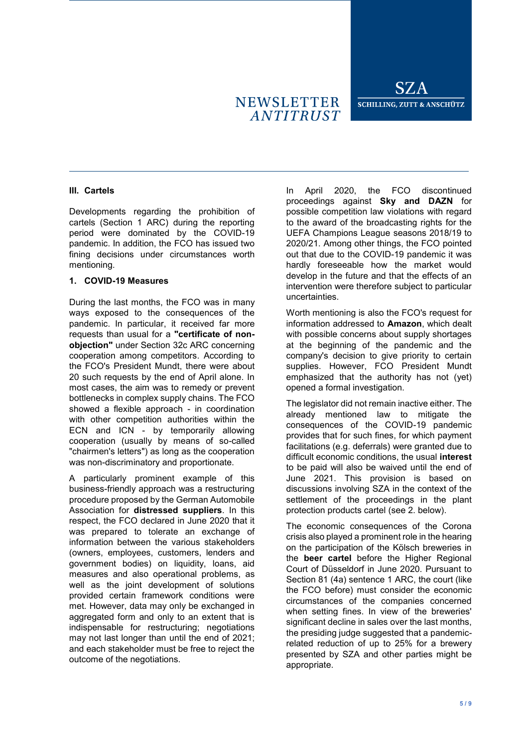### <span id="page-4-0"></span>**III. Cartels**

Developments regarding the prohibition of cartels (Section 1 ARC) during the reporting period were dominated by the COVID-19 pandemic. In addition, the FCO has issued two fining decisions under circumstances worth mentioning.

### **1. COVID-19 Measures**

During the last months, the FCO was in many ways exposed to the consequences of the pandemic. In particular, it received far more requests than usual for a **"certificate of nonobjection"** under Section 32c ARC concerning cooperation among competitors. According to the FCO's President Mundt, there were about 20 such requests by the end of April alone. In most cases, the aim was to remedy or prevent bottlenecks in complex supply chains. The FCO showed a flexible approach - in coordination with other competition authorities within the ECN and ICN - by temporarily allowing cooperation (usually by means of so-called "chairmen's letters") as long as the cooperation was non-discriminatory and proportionate.

A particularly prominent example of this business-friendly approach was a restructuring procedure proposed by the German Automobile Association for **distressed suppliers**. In this respect, the FCO declared in June 2020 that it was prepared to tolerate an exchange of information between the various stakeholders (owners, employees, customers, lenders and government bodies) on liquidity, loans, aid measures and also operational problems, as well as the joint development of solutions provided certain framework conditions were met. However, data may only be exchanged in aggregated form and only to an extent that is indispensable for restructuring; negotiations may not last longer than until the end of 2021; and each stakeholder must be free to reject the outcome of the negotiations.

In April 2020, the FCO discontinued proceedings against **Sky and DAZN** for possible competition law violations with regard to the award of the broadcasting rights for the UEFA Champions League seasons 2018/19 to 2020/21. Among other things, the FCO pointed out that due to the COVID-19 pandemic it was hardly foreseeable how the market would develop in the future and that the effects of an intervention were therefore subject to particular uncertainties.

Worth mentioning is also the FCO's request for information addressed to **Amazon**, which dealt with possible concerns about supply shortages at the beginning of the pandemic and the company's decision to give priority to certain supplies. However, FCO President Mundt emphasized that the authority has not (yet) opened a formal investigation.

The legislator did not remain inactive either. The already mentioned law to mitigate the consequences of the COVID-19 pandemic provides that for such fines, for which payment facilitations (e.g. deferrals) were granted due to difficult economic conditions, the usual **interest** to be paid will also be waived until the end of June 2021. This provision is based on discussions involving SZA in the context of the settlement of the proceedings in the plant protection products cartel (see 2. below).

The economic consequences of the Corona crisis also played a prominent role in the hearing on the participation of the Kölsch breweries in the **beer cartel** before the Higher Regional Court of Düsseldorf in June 2020. Pursuant to Section 81 (4a) sentence 1 ARC, the court (like the FCO before) must consider the economic circumstances of the companies concerned when setting fines. In view of the breweries' significant decline in sales over the last months, the presiding judge suggested that a pandemicrelated reduction of up to 25% for a brewery presented by SZA and other parties might be appropriate.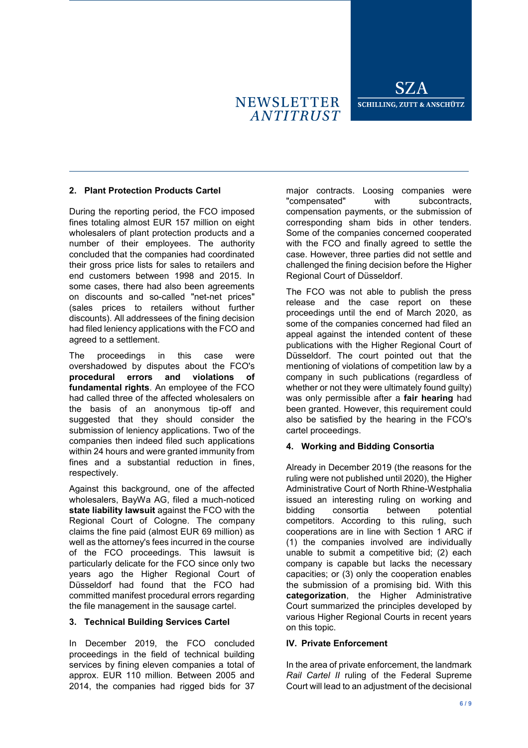# **2. Plant Protection Products Cartel**

During the reporting period, the FCO imposed fines totaling almost EUR 157 million on eight wholesalers of plant protection products and a number of their employees. The authority concluded that the companies had coordinated their gross price lists for sales to retailers and end customers between 1998 and 2015. In some cases, there had also been agreements on discounts and so-called "net-net prices" (sales prices to retailers without further discounts). All addressees of the fining decision had filed leniency applications with the FCO and agreed to a settlement.

The proceedings in this case were overshadowed by disputes about the FCO's **procedural errors and violations of fundamental rights**. An employee of the FCO had called three of the affected wholesalers on the basis of an anonymous tip-off and suggested that they should consider the submission of leniency applications. Two of the companies then indeed filed such applications within 24 hours and were granted immunity from fines and a substantial reduction in fines, respectively.

Against this background, one of the affected wholesalers, BayWa AG, filed a much-noticed **state liability lawsuit** against the FCO with the Regional Court of Cologne. The company claims the fine paid (almost EUR 69 million) as well as the attorney's fees incurred in the course of the FCO proceedings. This lawsuit is particularly delicate for the FCO since only two years ago the Higher Regional Court of Düsseldorf had found that the FCO had committed manifest procedural errors regarding the file management in the sausage cartel.

### **3. Technical Building Services Cartel**

In December 2019, the FCO concluded proceedings in the field of technical building services by fining eleven companies a total of approx. EUR 110 million. Between 2005 and 2014, the companies had rigged bids for 37

major contracts. Loosing companies were "compensated" with subcontracts, compensation payments, or the submission of corresponding sham bids in other tenders. Some of the companies concerned cooperated with the FCO and finally agreed to settle the case. However, three parties did not settle and challenged the fining decision before the Higher Regional Court of Düsseldorf.

The FCO was not able to publish the press release and the case report on these proceedings until the end of March 2020, as some of the companies concerned had filed an appeal against the intended content of these publications with the Higher Regional Court of Düsseldorf. The court pointed out that the mentioning of violations of competition law by a company in such publications (regardless of whether or not they were ultimately found guilty) was only permissible after a **fair hearing** had been granted. However, this requirement could also be satisfied by the hearing in the FCO's cartel proceedings.

# **4. Working and Bidding Consortia**

Already in December 2019 (the reasons for the ruling were not published until 2020), the Higher Administrative Court of North Rhine-Westphalia issued an interesting ruling on working and bidding consortia between potential competitors. According to this ruling, such cooperations are in line with Section 1 ARC if (1) the companies involved are individually unable to submit a competitive bid; (2) each company is capable but lacks the necessary capacities; or (3) only the cooperation enables the submission of a promising bid. With this **categorization**, the Higher Administrative Court summarized the principles developed by various Higher Regional Courts in recent years on this topic.

### <span id="page-5-0"></span>**IV. Private Enforcement**

In the area of private enforcement, the landmark *Rail Cartel II* ruling of the Federal Supreme Court will lead to an adjustment of the decisional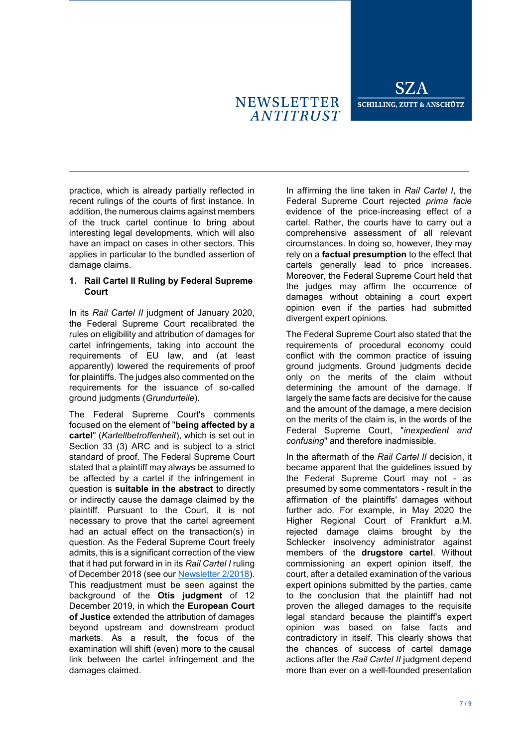# **NEWSLETTER ANTITRUST**

practice, which is already partially reflected in recent rulings of the courts of first instance. In addition, the numerous claims against members of the truck cartel continue to bring about interesting legal developments, which will also have an impact on cases in other sectors. This applies in particular to the bundled assertion of damage claims.

#### **1. Rail Cartel II Ruling by Federal Supreme Court**

In its *Rail Cartel II* judgment of January 2020, the Federal Supreme Court recalibrated the rules on eligibility and attribution of damages for cartel infringements, taking into account the requirements of EU law, and (at least apparently) lowered the requirements of proof for plaintiffs. The judges also commented on the requirements for the issuance of so-called ground judgments (*Grundurteile*).

The Federal Supreme Court's comments focused on the element of "**being affected by a cartel**" (*Kartellbetroffenheit*), which is set out in Section 33 (3) ARC and is subject to a strict standard of proof. The Federal Supreme Court stated that a plaintiff may always be assumed to be affected by a cartel if the infringement in question is **suitable in the abstract** to directly or indirectly cause the damage claimed by the plaintiff. Pursuant to the Court, it is not necessary to prove that the cartel agreement had an actual effect on the transaction(s) in question. As the Federal Supreme Court freely admits, this is a significant correction of the view that it had put forward in in its *Rail Cartel I* ruling of December 2018 (see ou[r Newsletter 2/2018\)](https://www.sza.de/en/current/client-information/client-information-details/news/major-developments-in-german-competition-law-in-july-december-2018/). This readjustment must be seen against the background of the **Otis judgment** of 12 December 2019, in which the **European Court of Justice** extended the attribution of damages beyond upstream and downstream product markets. As a result, the focus of the examination will shift (even) more to the causal link between the cartel infringement and the damages claimed.

In affirming the line taken in *Rail Cartel I*, the Federal Supreme Court rejected *prima facie*  evidence of the price-increasing effect of a cartel. Rather, the courts have to carry out a comprehensive assessment of all relevant circumstances. In doing so, however, they may rely on a **factual presumption** to the effect that cartels generally lead to price increases. Moreover, the Federal Supreme Court held that the judges may affirm the occurrence of damages without obtaining a court expert opinion even if the parties had submitted divergent expert opinions.

The Federal Supreme Court also stated that the requirements of procedural economy could conflict with the common practice of issuing ground judgments. Ground judgments decide only on the merits of the claim without determining the amount of the damage. If largely the same facts are decisive for the cause and the amount of the damage, a mere decision on the merits of the claim is, in the words of the Federal Supreme Court, "*inexpedient and confusing*" and therefore inadmissible.

In the aftermath of the *Rail Cartel II* decision, it became apparent that the guidelines issued by the Federal Supreme Court may not - as presumed by some commentators - result in the affirmation of the plaintiffs' damages without further ado. For example, in May 2020 the Higher Regional Court of Frankfurt a.M. rejected damage claims brought by the Schlecker insolvency administrator against members of the **drugstore cartel**. Without commissioning an expert opinion itself, the court, after a detailed examination of the various expert opinions submitted by the parties, came to the conclusion that the plaintiff had not proven the alleged damages to the requisite legal standard because the plaintiff's expert opinion was based on false facts and contradictory in itself. This clearly shows that the chances of success of cartel damage actions after the *Rail Cartel II* judgment depend more than ever on a well-founded presentation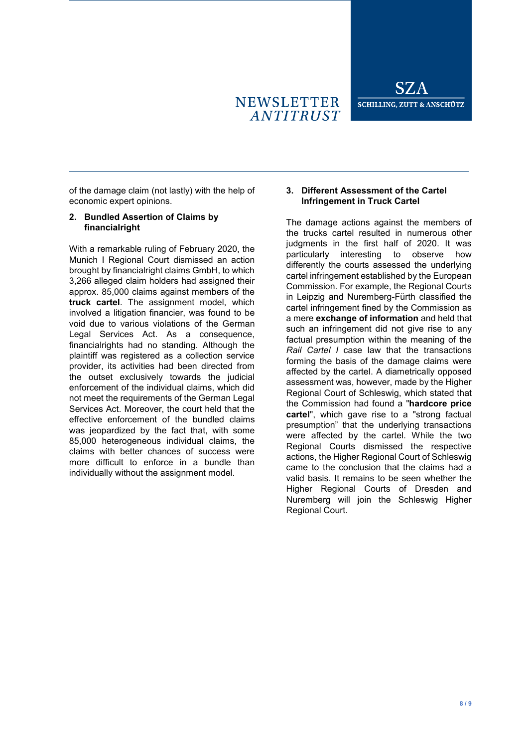

of the damage claim (not lastly) with the help of economic expert opinions.

### **2. Bundled Assertion of Claims by financialright**

With a remarkable ruling of February 2020, the Munich I Regional Court dismissed an action brought by financialright claims GmbH, to which 3,266 alleged claim holders had assigned their approx. 85,000 claims against members of the **truck cartel**. The assignment model, which involved a litigation financier, was found to be void due to various violations of the German Legal Services Act. As a consequence, financialrights had no standing. Although the plaintiff was registered as a collection service provider, its activities had been directed from the outset exclusively towards the judicial enforcement of the individual claims, which did not meet the requirements of the German Legal Services Act. Moreover, the court held that the effective enforcement of the bundled claims was jeopardized by the fact that, with some 85,000 heterogeneous individual claims, the claims with better chances of success were more difficult to enforce in a bundle than individually without the assignment model.

## **3. Different Assessment of the Cartel Infringement in Truck Cartel**

The damage actions against the members of the trucks cartel resulted in numerous other judgments in the first half of 2020. It was particularly interesting to observe how differently the courts assessed the underlying cartel infringement established by the European Commission. For example, the Regional Courts in Leipzig and Nuremberg-Fürth classified the cartel infringement fined by the Commission as a mere **exchange of information** and held that such an infringement did not give rise to any factual presumption within the meaning of the *Rail Cartel I* case law that the transactions forming the basis of the damage claims were affected by the cartel. A diametrically opposed assessment was, however, made by the Higher Regional Court of Schleswig, which stated that the Commission had found a "**hardcore price cartel**", which gave rise to a "strong factual presumption" that the underlying transactions were affected by the cartel. While the two Regional Courts dismissed the respective actions, the Higher Regional Court of Schleswig came to the conclusion that the claims had a valid basis. It remains to be seen whether the Higher Regional Courts of Dresden and Nuremberg will join the Schleswig Higher Regional Court.